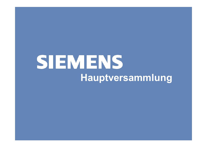## **SIEMENS Hauptversammlung**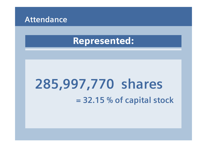

#### Represented:

## **285,997,770 shares = 32.15 % of capital stock**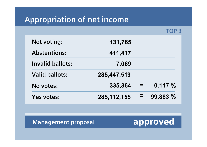### **Appropriation of net income**

**TOP 3**

| <b>Not voting:</b>    | 131,765       |          |          |
|-----------------------|---------------|----------|----------|
| <b>Abstentions:</b>   | 411,417       |          |          |
| Invalid ballots:      | 7,069         |          |          |
| <b>Valid ballots:</b> | 285,447,519   |          |          |
| No votes:             | 335,364       | $\equiv$ | 0.117%   |
| Yes votes:            | 285, 112, 155 | =        | 99.883 % |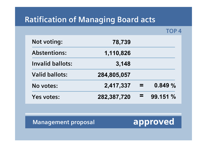#### **Ratification of Managing Board acts**

**TOP 4**

| <b>Not voting:</b>      | 78,739      |      |          |
|-------------------------|-------------|------|----------|
| <b>Abstentions:</b>     | 1,110,826   |      |          |
| <b>Invalid ballots:</b> | 3,148       |      |          |
| <b>Valid ballots:</b>   | 284,805,057 |      |          |
| No votes:               | 2,417,337   | - 23 | 0.849%   |
| Yes votes:              | 282,387,720 |      | 99.151 % |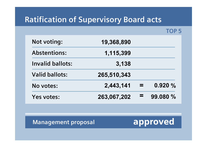#### **Ratification of Supervisory Board acts**

**TOP 5**

| <b>Not voting:</b>      | 19,368,890  |          |          |
|-------------------------|-------------|----------|----------|
| <b>Abstentions:</b>     | 1,115,399   |          |          |
| <b>Invalid ballots:</b> | 3,138       |          |          |
| <b>Valid ballots:</b>   | 265,510,343 |          |          |
| No votes:               | 2,443,141   | $\equiv$ | 0.920%   |
| Yes votes:              | 263,067,202 | =        | 99.080 % |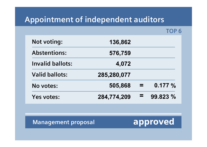#### **Appointment of independent auditors**

**TOP 6**

| <b>Not voting:</b>      | 136,862     |      |          |
|-------------------------|-------------|------|----------|
| <b>Abstentions:</b>     | 576,759     |      |          |
| <b>Invalid ballots:</b> | 4,072       |      |          |
| <b>Valid ballots:</b>   | 285,280,077 |      |          |
| No votes:               | 505,868     | - 21 | 0.177%   |
| Yes votes:              | 284,774,209 | =    | 99.823 % |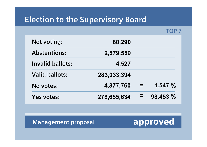#### **Election to the Supervisory Board**

**TOP 7**

| <b>Not voting:</b>    | 80,290      |      |           |
|-----------------------|-------------|------|-----------|
| <b>Abstentions:</b>   | 2,879,559   |      |           |
| Invalid ballots:      | 4,527       |      |           |
| <b>Valid ballots:</b> | 283,033,394 |      |           |
| No votes:             | 4,377,760   | - 21 | 1.547 $%$ |
| Yes votes:            | 278,655,634 | ▄    | 98.453 %  |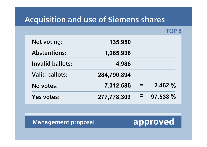#### **Acquisition and use of Siemens shares**

**TOP 8**

| <b>Not voting:</b>      | 135,950     |          |          |
|-------------------------|-------------|----------|----------|
| <b>Abstentions:</b>     | 1,065,938   |          |          |
| <b>Invalid ballots:</b> | 4,988       |          |          |
| <b>Valid ballots:</b>   | 284,790,894 |          |          |
| No votes:               | 7,012,585   | $\equiv$ | 2.462%   |
| Yes votes:              | 277,778,309 | 三        | 97.538 % |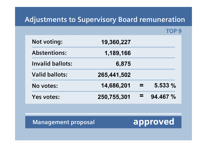#### **Adjustments to Supervisory Board remuneration**

**TOP 9**

| <b>Not voting:</b>    | 19,360,227  |      |          |
|-----------------------|-------------|------|----------|
| <b>Abstentions:</b>   | 1,189,166   |      |          |
| Invalid ballots:      | 6,875       |      |          |
| <b>Valid ballots:</b> | 265,441,502 |      |          |
| No votes:             | 14,686,201  | - 22 | 5.533 %  |
| Yes votes:            | 250,755,301 |      | 94.467 % |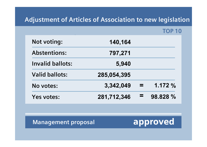#### **Adjustment of Articles of Association to new legislation**

**TOP 10**

| <b>Not voting:</b>      | 140,164     |      |          |
|-------------------------|-------------|------|----------|
| <b>Abstentions:</b>     | 797,271     |      |          |
| <b>Invalid ballots:</b> | 5,940       |      |          |
| <b>Valid ballots:</b>   | 285,054,395 |      |          |
| No votes:               | 3,342,049   | - 22 | 1.172%   |
| Yes votes:              | 281,712,346 | =    | 98.828 % |